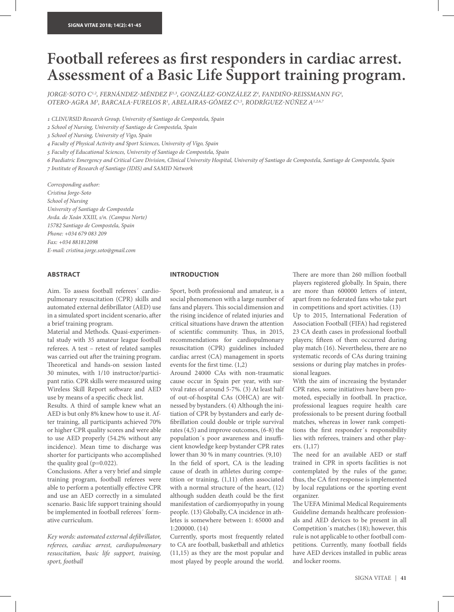# **Football referees as frst responders in cardiac arrest. Assessment of a Basic Life Support training program.**

*JORGE-SOTO C<sup>1,2</sup>, FERNÁNDEZ-MÉNDEZ F<sup>1,3</sup>, GONZÁLEZ-GONZÁLEZ Z<sup>4</sup>, FANDIÑO-REISSMANN FG<sup>4</sup>, OTERO*-*AGRA M3 , BARCALA*-*FURELOS R1 , ABELAIRAS*-*GÓMEZ C1,5, RODRÍGUEZ*-*NÚÑEZ A1,2,6,7*

1 *CLINURSID Research Group, University of Santiago de Compostela, Spain*

2 *School of Nursing, University of Santiago de Compostela, Spain*

3 *School of Nursing, University of Vigo, Spain*

4 *Faculty of Physical Activity and Sport Sciences, University of Vigo, Spain*

5 *Faculty of Educational Sciences, University of Santiago de Compostela, Spain*

6 *Paediatric Emergency and Critical Care Division, Clinical University Hospital, University of Santiago de Compostela, Santiago de Compostela, Spain* 7 *Institute of Research of Santiago (IDIS) and SAMID Network*

*Corresponding author: Cristina Jorge-Soto School of Nursing University of Santiago de Compostela Avda. de Xoán XXIII, s/n. (Campus Norte) 15782 Santiago de Compostela, Spain Phone: +034 679 083 209 Fax: +034 881812098 E-mail: cristina.jorge.soto@gmail.com*

## **ABSTRACT**

Aim. To assess football referees´ cardiopulmonary resuscitation (CPR) skills and automated external defbrillator (AED) use in a simulated sport incident scenario, afer a brief training program.

Material and Methods. Quasi-experimental study with 35 amateur league football referees. A test – retest of related samples was carried out after the training program. Theoretical and hands-on session lasted 30 minutes, with 1/10 instructor/participant ratio. CPR skills were measured using Wireless Skill Report sofware and AED use by means of a specifc check list.

Results. A third of sample knew what an AED is but only 8% knew how to use it. After training, all participants achieved 70% or higher CPR quality scores and were able to use AED properly (54.2% without any incidence). Mean time to discharge was shorter for participants who accomplished the quality goal ( $p=0.022$ ).

Conclusions. Afer a very brief and simple training program, football referees were able to perform a potentially efective CPR and use an AED correctly in a simulated scenario. Basic life support training should be implemented in football referees´ formative curriculum.

*Key words: automated external de*f*brillator, referees, cardiac arrest, cardiopulmonary resuscitation, basic life support, training, sport, football*

## **INTRODUCTION**

Sport, both professional and amateur, is a social phenomenon with a large number of fans and players. This social dimension and the rising incidence of related injuries and critical situations have drawn the attention of scientific community. Thus, in 2015, recommendations for cardiopulmonary resuscitation (CPR) guidelines included cardiac arrest (CA) management in sports events for the frst time. (1,2)

Around 24000 CAs with non-traumatic cause occur in Spain per year, with survival rates of around 5-7%. (3) At least half of out-of-hospital CAs (OHCA) are witnessed by bystanders. (4) Although the initiation of CPR by bystanders and early defbrillation could double or triple survival rates (4,5) and improve outcomes, (6-8) the population's poor awareness and insufficient knowledge keep bystander CPR rates lower than 30 % in many countries. (9,10) In the feld of sport, CA is the leading cause of death in athletes during competition or training, (1,11) often associated with a normal structure of the heart, (12) although sudden death could be the frst manifestation of cardiomyopathy in young people. (13) Globally, CA incidence in athletes is somewhere between 1: 65000 and 1:200000. (14)

Currently, sports most frequently related to CA are football, basketball and athletics (11,15) as they are the most popular and most played by people around the world. There are more than 260 million football players registered globally. In Spain, there are more than 600000 letters of intent, apart from no federated fans who take part in competitions and sport activities. (13)

Up to 2015, International Federation of Association Football (FIFA) had registered 23 CA death cases in professional football players; fifteen of them occurred during play match (16). Nevertheless, there are no systematic records of CAs during training sessions or during play matches in professional leagues.

With the aim of increasing the bystander CPR rates, some initiatives have been promoted, especially in football. In practice, professional leagues require health care professionals to be present during football matches, whereas in lower rank competitions the frst responder´s responsibility lies with referees, trainers and other players. (1,17)

The need for an available AED or staff trained in CPR in sports facilities is not contemplated by the rules of the game; thus, the CA frst response is implemented by local regulations or the sporting event organizer.

The UEFA Minimal Medical Requirements Guideline demands healthcare professionals and AED devices to be present in all Competition´s matches (18); however, this rule is not applicable to other football competitions. Currently, many football felds have AED devices installed in public areas and locker rooms.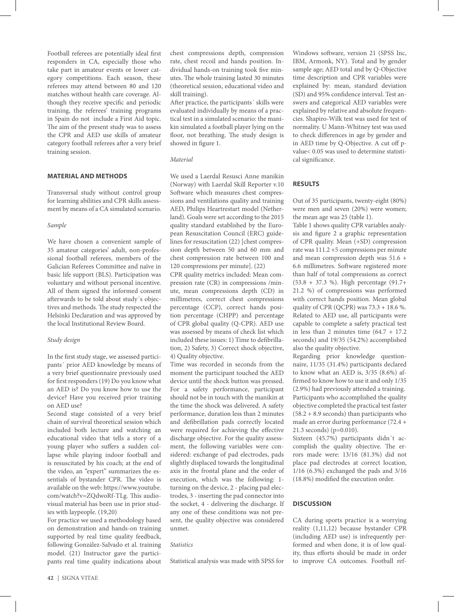Football referees are potentially ideal frst responders in CA, especially those who take part in amateur events or lower category competitions. Each season, these referees may attend between 80 and 120 matches without health care coverage. Although they receive specifc and periodic training, the referees' training programs in Spain do not include a First Aid topic. The aim of the present study was to assess the CPR and AED use skills of amateur category football referees after a very brief training session.

# **MATERIAL AND METHODS**

Transversal study without control group for learning abilities and CPR skills assessment by means of a CA simulated scenario.

#### *Sample*

We have chosen a convenient sample of 35 amateur categories' adult, non-professional football referees, members of the Galician Referees Committee and naïve in basic life support (BLS). Participation was voluntary and without personal incentive. All of them signed the informed consent aferwards to be told about study´s objectives and methods. The study respected the Helsinki Declaration and was approved by the local Institutional Review Board.

#### *Study design*

In the frst study stage, we assessed participants´ prior AED knowledge by means of a very brief questionnaire previously used for frst responders (19) Do you know what an AED is? Do you know how to use the device? Have you received prior training on AED use?

Second stage consisted of a very brief chain of survival theoretical session which included both lecture and watching an educational video that tells a story of a young player who sufers a sudden collapse while playing indoor football and is resuscitated by his coach; at the end of the video, an "expert" summarizes the essentials of bystander CPR. The video is available on the web: https://www.youtube. com/watch?v=ZQdwoRf-TLg. This audiovisual material has been use in prior studies with laypeople. (19,20)

For practice we used a methodology based on demonstration and hands-on training supported by real time quality feedback, following González-Salvado et al. training model. (21) Instructor gave the participants real time quality indications about chest compressions depth, compression rate, chest recoil and hands position. Individual hands-on training took fve minutes. The whole training lasted 30 minutes (theoretical session, educational video and skill training).

Afer practice, the participants´ skills were evaluated individually by means of a practical test in a simulated scenario: the manikin simulated a football player lying on the floor, not breathing. The study design is showed in fgure 1.

#### *Material*

We used a Laerdal Resusci Anne manikin (Norway) with Laerdal Skill Reporter v.10 Software which measures chest compressions and ventilations quality and training AED, Philips Heartrestart model (Netherland). Goals were set according to the 2015 quality standard established by the European Resuscitation Council (ERC) guidelines for resuscitation (22) [chest compression depth between 50 and 60 mm and chest compression rate between 100 and 120 compressions per minute]. (22)

CPR quality metrics included: Mean compression rate (CR) in compressions /minute, mean compressions depth (CD) in millimetres, correct chest compressions percentage (CCP), correct hands position percentage (CHPP) and percentage of CPR global quality (Q-CPR). AED use was assessed by means of check list which included these issues: 1) Time to defbrillation, 2) Safety, 3) Correct shock objective, 4) Quality objective.

Time was recorded in seconds from the moment the participant touched the AED device until the shock button was pressed. For a safety performance, participant should not be in touch with the manikin at the time the shock was delivered. A safety performance, duration less than 2 minutes and defbrillation pads correctly located were required for achieving the efective discharge objective. For the quality assessment, the following variables were considered: exchange of pad electrodes, pads slightly displaced towards the longitudinal axis in the frontal plane and the order of execution, which was the following: 1 turning on the device, 2 - placing pad electrodes, 3 - inserting the pad connector into the socket, 4 - delivering the discharge. If any one of these conditions was not present, the quality objective was considered unmet.

# *Statistics*

Statistical analysis was made with SPSS for

Windows sofware, version 21 (SPSS Inc, IBM, Armonk, NY). Total and by gender sample age; AED total and by Q-Objective time description and CPR variables were explained by: mean, standard deviation (SD) and 95% confdence interval. Test answers and categorical AED variables were explained by relative and absolute frequencies. Shapiro-Wilk test was used for test of normality. U Mann-Whitney test was used to check diferences in age by gender and in AED time by Q-Objective. A cut off pvalue< 0.05 was used to determine statistical signifcance.

#### **RESULTS**

Out of 35 participants, twenty-eight (80%) were men and seven (20%) were women; the mean age was 25 (table 1).

Table 1 shows quality CPR variables analysis and fgure 2 a graphic representation of CPR quality. Mean (+SD) compression rate was 111.2 +5 compressions per minute and mean compression depth was 51.6 + 6.6 millimetres. Sofware registered more than half of total compressions as correct (53.8 + 37.3 %). High percentage (91.7+ 21.2 %) of compressions was performed with correct hands position. Mean global quality of CPR (QCPR) was  $73.3 + 18.6$  %. Related to AED use, all participants were capable to complete a safety practical test in less than 2 minutes time  $(64.7 + 17.2)$ seconds) and 19/35 (54.2%) accomplished also the quality objective.

Regarding prior knowledge questionnaire, 11/35 (31.4%) participants declared to know what an AED is, 3/35 (8.6%) affrmed to know how to use it and only 1/35 (2.9%) had previously attended a training. Participants who accomplished the quality objective completed the practical test faster (58.2 + 8.9 seconds) than participants who made an error during performance (72.4 + 21.3 seconds) (p=0.010).

Sixteen (45.7%) participants didn´t accomplish the quality objective. The errors made were: 13/16 (81.3%) did not place pad electrodes at correct location, 1/16 (6.3%) exchanged the pads and 3/16 (18.8%) modifed the execution order.

## **DISCUSSION**

CA during sports practice is a worrying reality (1,11,12) because bystander CPR (including AED use) is infrequently performed and when done, it is of low quality, thus efforts should be made in order to improve CA outcomes. Football ref-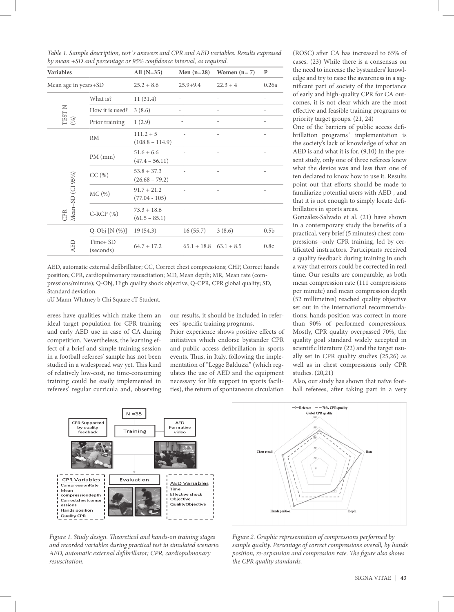| <b>Variables</b>        |                       | All $(N=35)$                      | Men $(n=28)$               | Women $(n=7)$ | $\mathbf{P}$     |
|-------------------------|-----------------------|-----------------------------------|----------------------------|---------------|------------------|
| Mean age in years+SD    |                       | $25.2 + 8.6$                      | $25.9 + 9.4$               | $22.3 + 4$    | 0.26a            |
| TEST N $(96)$           | What is?              | 11(31.4)                          |                            |               |                  |
|                         | How it is used?       | 3(8.6)                            |                            |               |                  |
|                         | Prior training        | 1(2.9)                            |                            |               |                  |
| Mean+SD (CI 95%)<br>CPR | RM                    | $111.2 + 5$<br>$(108.8 - 114.9)$  |                            |               |                  |
|                         | $PM$ (mm)             | $51.6 + 6.6$<br>$(47.4 - 56.11)$  |                            |               |                  |
|                         | CC(%)                 | $53.8 + 37.3$<br>$(26.68 - 79.2)$ |                            |               |                  |
|                         | MC(%)                 | $91.7 + 21.2$<br>$(77.04 - 105)$  |                            |               |                  |
|                         | $C-RCP(%)$            | $73.3 + 18.6$<br>$(61.5 - 85.1)$  |                            |               |                  |
| AED                     | $Q-Obj[N(\%)]$        | 19(54.3)                          | 16(55.7)                   | 3(8.6)        | 0.5 <sub>b</sub> |
|                         | Time+ SD<br>(seconds) | $64.7 + 17.2$                     | $65.1 + 18.8$ $63.1 + 8.5$ |               | 0.8c             |

*Table 1. Sample description, test´s answers and CPR and AED variables. Results expressed by mean +SD and percentage or 95% con*f*dence interval, as required.*

AED, automatic external defbrillator; CC, Correct chest compressions; CHP, Correct hands position; CPR, cardiopulmonary resuscitation; MD, Mean depth; MR, Mean rate (compressions/minute); Q-Obj, High quality shock objective; Q-CPR, CPR global quality; SD, Standard deviation.

aU Mann-Whitney b Chi Square cT Student.

erees have qualities which make them an ideal target population for CPR training and early AED use in case of CA during competition. Nevertheless, the learning effect of a brief and simple training session in a football referees' sample has not been studied in a widespread way yet. This kind of relatively low-cost, no time-consuming training could be easily implemented in referees' regular curricula and, observing

our results, it should be included in referees´ specifc training programs.

Prior experience shows positive efects of initiatives which endorse bystander CPR and public access defbrillation in sports events. Thus, in Italy, following the implementation of "Legge Balduzzi" (which regulates the use of AED and the equipment necessary for life support in sports facilities), the return of spontaneous circulation

(ROSC) after CA has increased to 65% of cases. (23) While there is a consensus on the need to increase the bystanders' knowledge and try to raise the awareness in a signifcant part of society of the importance of early and high-quality CPR for CA outcomes, it is not clear which are the most efective and feasible training programs or priority target groups. (21, 24)

One of the barriers of public access defbrillation programs´ implementation is the society's lack of knowledge of what an AED is and what it is for. (9,10) In the present study, only one of three referees knew what the device was and less than one of ten declared to know how to use it. Results point out that eforts should be made to familiarize potential users with AED , and that it is not enough to simply locate defbrillators in sports areas.

González-Salvado et al. (21) have shown in a contemporary study the benefts of a practical, very brief (5 minutes) chest compressions -only CPR training, led by certifcated instructors. Participants received a quality feedback during training in such a way that errors could be corrected in real time. Our results are comparable, as both mean compression rate (111 compressions per minute) and mean compression depth (52 millimetres) reached quality objective set out in the international recommendations; hands position was correct in more than 90% of performed compressions. Mostly, CPR quality overpassed 70%, the quality goal standard widely accepted in scientifc literature (22) and the target usually set in CPR quality studies (25,26) as well as in chest compressions only CPR studies. (20,21)

Also, our study has shown that naïve football referees, after taking part in a very



*Figure 1. Study design.* T*eoretical and hands-on training stages and recorded variables during practical test in simulated scenario. AED, automatic external de*f*brillator; CPR, cardiopulmonary resuscitation.*



*Figure 2. Graphic representation of compressions performed by sample quality. Percentage of correct compressions overall, by hands position, re-expansion and compression rate. The figure also shows the CPR quality standards.*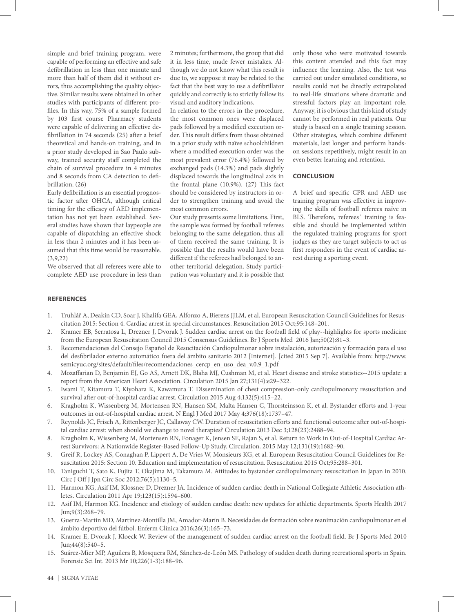simple and brief training program, were capable of performing an efective and safe defbrillation in less than one minute and more than half of them did it without errors, thus accomplishing the quality objective. Similar results were obtained in other studies with participants of diferent profles. In this way, 75% of a sample formed by 103 frst course Pharmacy students were capable of delivering an efective defibrillation in 74 seconds (25) after a brief theoretical and hands-on training, and in a prior study developed in Sao Paulo subway, trained security staff completed the chain of survival procedure in 4 minutes and 8 seconds from CA detection to defbrillation. (26)

Early defbrillation is an essential prognostic factor after OHCA, although critical timing for the efficacy of AED implementation has not yet been established. Several studies have shown that laypeople are capable of dispatching an efective shock in less than 2 minutes and it has been assumed that this time would be reasonable.  $(3,9,22)$ 

We observed that all referees were able to complete AED use procedure in less than 2 minutes; furthermore, the group that did it in less time, made fewer mistakes. Although we do not know what this result is due to, we suppose it may be related to the fact that the best way to use a defbrillator quickly and correctly is to strictly follow its visual and auditory indications.

In relation to the errors in the procedure, the most common ones were displaced pads followed by a modifed execution order. This result differs from those obtained in a prior study with naïve schoolchildren where a modifed execution order was the most prevalent error (76.4%) followed by exchanged pads (14.3%) and pads slightly displaced towards the longitudinal axis in the frontal plane (10.9%). (27) This fact should be considered by instructors in order to strengthen training and avoid the most common errors.

Our study presents some limitations. First, the sample was formed by football referees belonging to the same delegation, thus all of them received the same training. It is possible that the results would have been diferent if the referees had belonged to another territorial delegation. Study participation was voluntary and it is possible that

only those who were motivated towards this content attended and this fact may infuence the learning. Also, the test was carried out under simulated conditions, so results could not be directly extrapolated to real-life situations where dramatic and stressful factors play an important role. Anyway, it is obvious that this kind of study cannot be performed in real patients. Our study is based on a single training session. Other strategies, which combine diferent materials, last longer and perform handson sessions repetitively, might result in an even better learning and retention.

## **CONCLUSION**

A brief and specifc CPR and AED use training program was efective in improving the skills of football referees naïve in BLS. Therefore, referees' training is feasible and should be implemented within the regulated training programs for sport judges as they are target subjects to act as frst responders in the event of cardiac arrest during a sporting event.

# **REFERENCES**

- 1. Truhlář A, Deakin CD, Soar J, Khalifa GEA, Alfonzo A, Bierens JJLM, et al. European Resuscitation Council Guidelines for Resuscitation 2015: Section 4. Cardiac arrest in special circumstances. Resuscitation 2015 Oct;95:148–201.
- 2. Kramer EB, Serratosa L, Drezner J, Dvorak J. Sudden cardiac arrest on the football feld of play--highlights for sports medicine from the European Resuscitation Council 2015 Consensus Guidelines. Br J Sports Med 2016 Jan;50(2):81–3.
- 3. Recomendaciones del Consejo Español de Resucitación Cardiopulmonar sobre instalación, autorización y formación para el uso del desfbrilador externo automático fuera del ámbito sanitario 2012 [Internet]. [cited 2015 Sep 7]. Available from: http://www. semicyuc.org/sites/default/fles/recomendaciones\_cercp\_en\_uso\_dea\_v.0.9\_1.pdf
- 4. Mozafarian D, Benjamin EJ, Go AS, Arnett DK, Blaha MJ, Cushman M, et al. Heart disease and stroke statistics--2015 update: a report from the American Heart Association. Circulation 2015 Jan 27;131(4):e29–322.
- 5. Iwami T, Kitamura T, Kiyohara K, Kawamura T. Dissemination of chest compression-only cardiopulmonary resuscitation and survival afer out-of-hospital cardiac arrest. Circulation 2015 Aug 4;132(5):415–22.
- 6. Kragholm K, Wissenberg M, Mortensen RN, Hansen SM, Malta Hansen C, Thorsteinsson K, et al. Bystander efforts and 1-year outcomes in out-of-hospital cardiac arrest. N Engl J Med 2017 May 4;376(18):1737–47.
- 7. Reynolds JC, Frisch A, Rittenberger JC, Callaway CW. Duration of resuscitation eforts and functional outcome afer out-of-hospital cardiac arrest: when should we change to novel therapies? Circulation 2013 Dec 3;128(23):2488–94.
- 8. Kragholm K, Wissenberg M, Mortensen RN, Fonager K, Jensen SE, Rajan S, et al. Return to Work in Out-of-Hospital Cardiac Arrest Survivors: A Nationwide Register-Based Follow-Up Study. Circulation. 2015 May 12;131(19):1682–90.
- 9. Greif R, Lockey AS, Conaghan P, Lippert A, De Vries W, Monsieurs KG, et al. European Resuscitation Council Guidelines for Resuscitation 2015: Section 10. Education and implementation of resuscitation. Resuscitation 2015 Oct;95:288–301.
- 10. Taniguchi T, Sato K, Fujita T, Okajima M, Takamura M. Attitudes to bystander cardiopulmonary resuscitation in Japan in 2010. Circ J Off J Jpn Circ Soc 2012;76(5):1130-5.
- 11. Harmon KG, Asif IM, Klossner D, Drezner JA. Incidence of sudden cardiac death in National Collegiate Athletic Association athletes. Circulation 2011 Apr 19;123(15):1594–600.
- 12. Asif IM, Harmon KG. Incidence and etiology of sudden cardiac death: new updates for athletic departments. Sports Health 2017 Jun;9(3):268–79.
- 13. Guerra-Martín MD, Martínez-Montilla JM, Amador-Marín B. Necesidades de formación sobre reanimación cardiopulmonar en el ámbito deportivo del fútbol. Enferm Clínica 2016;26(3):165–73.
- 14. Kramer E, Dvorak J, Kloeck W. Review of the management of sudden cardiac arrest on the football feld. Br J Sports Med 2010 Jun;44(8):540–5.
- 15. Suárez-Mier MP, Aguilera B, Mosquera RM, Sánchez-de-León MS. Pathology of sudden death during recreational sports in Spain. Forensic Sci Int. 2013 Mr 10;226(1-3):188–96.